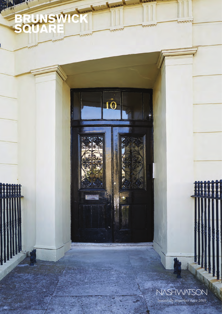## BRUNSW SQUARE

NASHWATSON

beautifully imperfect since 2009\_

boon

GOUDOU

ಆರ್ಯ

10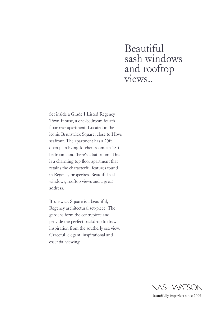## Beautiful sash windows and rooftop views..

Set inside a Grade I Listed Regency Town House, a one-bedroom fourth floor rear apartment. Located in the iconic Brunswick Square, close to Hove seafront. The apartment has a 20ft open plan living-kitchen room, an 18ft bedroom, and there's a bathroom. This is a charming top floor apartment that retains the characterful features found in Regency properties. Beautiful sash windows, rooftop views and a great address.

Brunswick Square is a beautiful, Regency architectural set-piece. The gardens form the centrepiece and provide the perfect backdrop to draw inspiration from the southerly sea view. Graceful, elegant, inspirational and essential viewing.



beautifully imperfect since 2009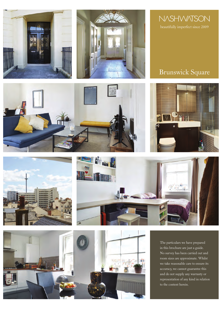







The particulars we have prepared in this brochure are just a guide. No survey has been carried out and room sizes are approximate. Whilst we take reasonable care to ensure its accuracy, we cannot guarantee this and do not supply any warranty or representation of any kind in relation to the content herein.